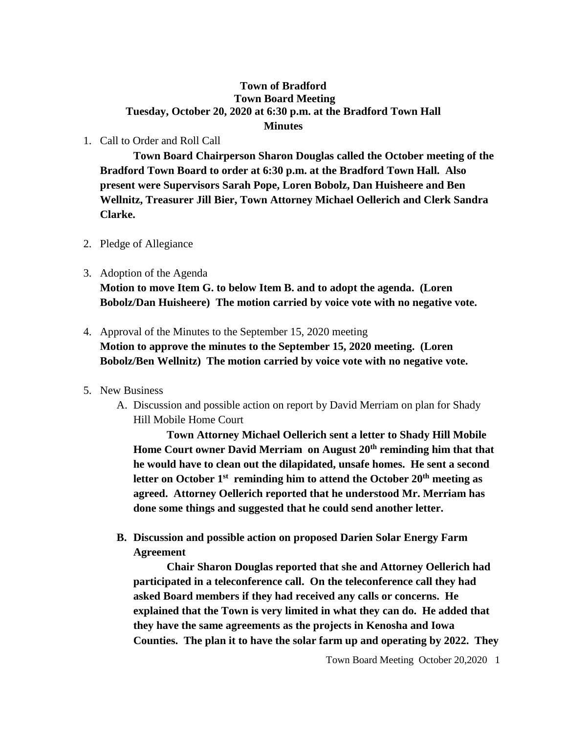## **Town of Bradford Town Board Meeting Tuesday, October 20, 2020 at 6:30 p.m. at the Bradford Town Hall Minutes**

1. Call to Order and Roll Call

**Town Board Chairperson Sharon Douglas called the October meeting of the Bradford Town Board to order at 6:30 p.m. at the Bradford Town Hall. Also present were Supervisors Sarah Pope, Loren Bobolz, Dan Huisheere and Ben Wellnitz, Treasurer Jill Bier, Town Attorney Michael Oellerich and Clerk Sandra Clarke.**

- 2. Pledge of Allegiance
- 3. Adoption of the Agenda **Motion to move Item G. to below Item B. and to adopt the agenda. (Loren Bobolz/Dan Huisheere) The motion carried by voice vote with no negative vote.**
- 4. Approval of the Minutes to the September 15, 2020 meeting **Motion to approve the minutes to the September 15, 2020 meeting. (Loren Bobolz/Ben Wellnitz) The motion carried by voice vote with no negative vote.**
- 5. New Business
	- A. Discussion and possible action on report by David Merriam on plan for Shady Hill Mobile Home Court

**Town Attorney Michael Oellerich sent a letter to Shady Hill Mobile Home Court owner David Merriam on August 20th reminding him that that he would have to clean out the dilapidated, unsafe homes. He sent a second letter on October 1 st reminding him to attend the October 20th meeting as agreed. Attorney Oellerich reported that he understood Mr. Merriam has done some things and suggested that he could send another letter.**

**B. Discussion and possible action on proposed Darien Solar Energy Farm Agreement**

**Chair Sharon Douglas reported that she and Attorney Oellerich had participated in a teleconference call. On the teleconference call they had asked Board members if they had received any calls or concerns. He explained that the Town is very limited in what they can do. He added that they have the same agreements as the projects in Kenosha and Iowa Counties. The plan it to have the solar farm up and operating by 2022. They**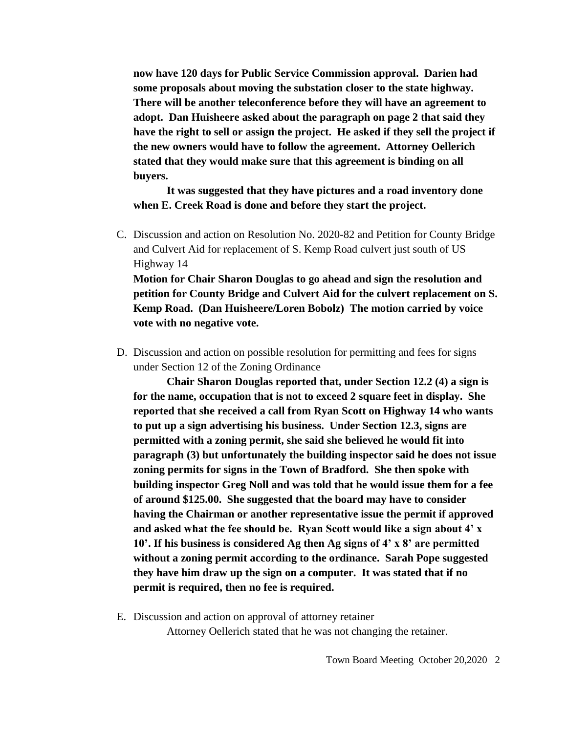**now have 120 days for Public Service Commission approval. Darien had some proposals about moving the substation closer to the state highway. There will be another teleconference before they will have an agreement to adopt. Dan Huisheere asked about the paragraph on page 2 that said they have the right to sell or assign the project. He asked if they sell the project if the new owners would have to follow the agreement. Attorney Oellerich stated that they would make sure that this agreement is binding on all buyers.** 

**It was suggested that they have pictures and a road inventory done when E. Creek Road is done and before they start the project.**

- C. Discussion and action on Resolution No. 2020-82 and Petition for County Bridge and Culvert Aid for replacement of S. Kemp Road culvert just south of US Highway 14 **Motion for Chair Sharon Douglas to go ahead and sign the resolution and petition for County Bridge and Culvert Aid for the culvert replacement on S. Kemp Road. (Dan Huisheere/Loren Bobolz) The motion carried by voice**
- D. Discussion and action on possible resolution for permitting and fees for signs under Section 12 of the Zoning Ordinance

**vote with no negative vote.**

**Chair Sharon Douglas reported that, under Section 12.2 (4) a sign is for the name, occupation that is not to exceed 2 square feet in display. She reported that she received a call from Ryan Scott on Highway 14 who wants to put up a sign advertising his business. Under Section 12.3, signs are permitted with a zoning permit, she said she believed he would fit into paragraph (3) but unfortunately the building inspector said he does not issue zoning permits for signs in the Town of Bradford. She then spoke with building inspector Greg Noll and was told that he would issue them for a fee of around \$125.00. She suggested that the board may have to consider having the Chairman or another representative issue the permit if approved and asked what the fee should be. Ryan Scott would like a sign about 4' x 10'. If his business is considered Ag then Ag signs of 4' x 8' are permitted without a zoning permit according to the ordinance. Sarah Pope suggested they have him draw up the sign on a computer. It was stated that if no permit is required, then no fee is required.**

E. Discussion and action on approval of attorney retainer Attorney Oellerich stated that he was not changing the retainer.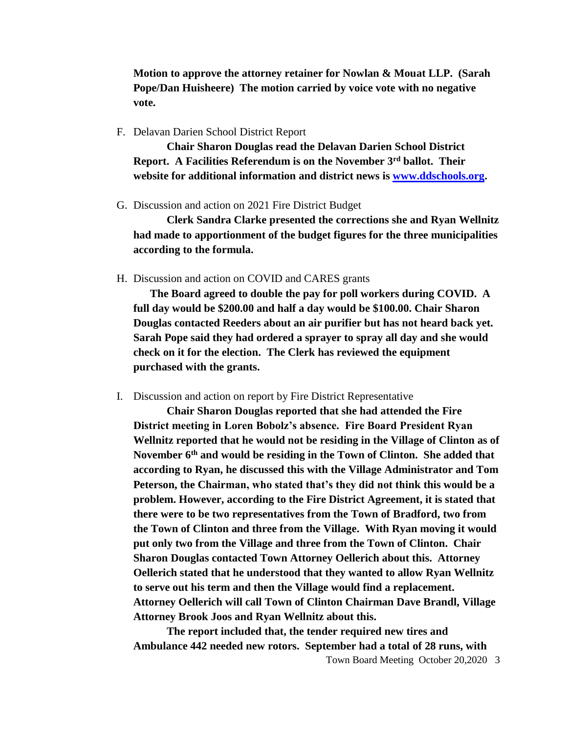**Motion to approve the attorney retainer for Nowlan & Mouat LLP. (Sarah Pope/Dan Huisheere) The motion carried by voice vote with no negative vote.**

F. Delavan Darien School District Report

**Chair Sharon Douglas read the Delavan Darien School District Report. A Facilities Referendum is on the November 3rd ballot. Their website for additional information and district news is [www.ddschools.org.](http://www.ddschools.org/)** 

G. Discussion and action on 2021 Fire District Budget

**Clerk Sandra Clarke presented the corrections she and Ryan Wellnitz had made to apportionment of the budget figures for the three municipalities according to the formula.**

H. Discussion and action on COVID and CARES grants

**The Board agreed to double the pay for poll workers during COVID. A full day would be \$200.00 and half a day would be \$100.00. Chair Sharon Douglas contacted Reeders about an air purifier but has not heard back yet. Sarah Pope said they had ordered a sprayer to spray all day and she would check on it for the election. The Clerk has reviewed the equipment purchased with the grants.**

I. Discussion and action on report by Fire District Representative

**Chair Sharon Douglas reported that she had attended the Fire District meeting in Loren Bobolz's absence. Fire Board President Ryan Wellnitz reported that he would not be residing in the Village of Clinton as of November 6th and would be residing in the Town of Clinton. She added that according to Ryan, he discussed this with the Village Administrator and Tom Peterson, the Chairman, who stated that's they did not think this would be a problem. However, according to the Fire District Agreement, it is stated that there were to be two representatives from the Town of Bradford, two from the Town of Clinton and three from the Village. With Ryan moving it would put only two from the Village and three from the Town of Clinton. Chair Sharon Douglas contacted Town Attorney Oellerich about this. Attorney Oellerich stated that he understood that they wanted to allow Ryan Wellnitz to serve out his term and then the Village would find a replacement. Attorney Oellerich will call Town of Clinton Chairman Dave Brandl, Village Attorney Brook Joos and Ryan Wellnitz about this.** 

**The report included that, the tender required new tires and Ambulance 442 needed new rotors. September had a total of 28 runs, with**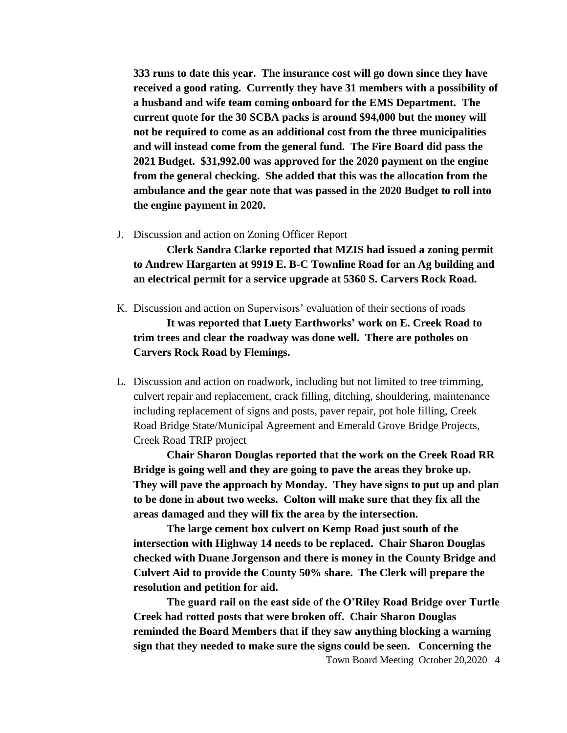**333 runs to date this year. The insurance cost will go down since they have received a good rating. Currently they have 31 members with a possibility of a husband and wife team coming onboard for the EMS Department. The current quote for the 30 SCBA packs is around \$94,000 but the money will not be required to come as an additional cost from the three municipalities and will instead come from the general fund. The Fire Board did pass the 2021 Budget. \$31,992.00 was approved for the 2020 payment on the engine from the general checking. She added that this was the allocation from the ambulance and the gear note that was passed in the 2020 Budget to roll into the engine payment in 2020.**

J. Discussion and action on Zoning Officer Report

**Clerk Sandra Clarke reported that MZIS had issued a zoning permit to Andrew Hargarten at 9919 E. B-C Townline Road for an Ag building and an electrical permit for a service upgrade at 5360 S. Carvers Rock Road.**

- K. Discussion and action on Supervisors' evaluation of their sections of roads **It was reported that Luety Earthworks' work on E. Creek Road to trim trees and clear the roadway was done well. There are potholes on Carvers Rock Road by Flemings.**
- L. Discussion and action on roadwork, including but not limited to tree trimming, culvert repair and replacement, crack filling, ditching, shouldering, maintenance including replacement of signs and posts, paver repair, pot hole filling, Creek Road Bridge State/Municipal Agreement and Emerald Grove Bridge Projects, Creek Road TRIP project

**Chair Sharon Douglas reported that the work on the Creek Road RR Bridge is going well and they are going to pave the areas they broke up. They will pave the approach by Monday. They have signs to put up and plan to be done in about two weeks. Colton will make sure that they fix all the areas damaged and they will fix the area by the intersection.** 

**The large cement box culvert on Kemp Road just south of the intersection with Highway 14 needs to be replaced. Chair Sharon Douglas checked with Duane Jorgenson and there is money in the County Bridge and Culvert Aid to provide the County 50% share. The Clerk will prepare the resolution and petition for aid.** 

**The guard rail on the east side of the O'Riley Road Bridge over Turtle Creek had rotted posts that were broken off. Chair Sharon Douglas reminded the Board Members that if they saw anything blocking a warning sign that they needed to make sure the signs could be seen. Concerning the**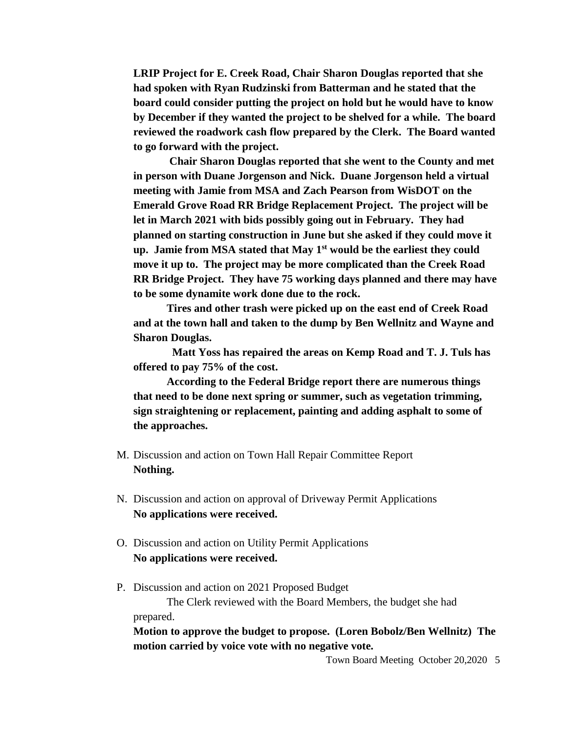**LRIP Project for E. Creek Road, Chair Sharon Douglas reported that she had spoken with Ryan Rudzinski from Batterman and he stated that the board could consider putting the project on hold but he would have to know by December if they wanted the project to be shelved for a while. The board reviewed the roadwork cash flow prepared by the Clerk. The Board wanted to go forward with the project.**

**Chair Sharon Douglas reported that she went to the County and met in person with Duane Jorgenson and Nick. Duane Jorgenson held a virtual meeting with Jamie from MSA and Zach Pearson from WisDOT on the Emerald Grove Road RR Bridge Replacement Project. The project will be let in March 2021 with bids possibly going out in February. They had planned on starting construction in June but she asked if they could move it up. Jamie from MSA stated that May 1st would be the earliest they could move it up to. The project may be more complicated than the Creek Road RR Bridge Project. They have 75 working days planned and there may have to be some dynamite work done due to the rock.**

**Tires and other trash were picked up on the east end of Creek Road and at the town hall and taken to the dump by Ben Wellnitz and Wayne and Sharon Douglas.** 

**Matt Yoss has repaired the areas on Kemp Road and T. J. Tuls has offered to pay 75% of the cost.**

**According to the Federal Bridge report there are numerous things that need to be done next spring or summer, such as vegetation trimming, sign straightening or replacement, painting and adding asphalt to some of the approaches.**

- M. Discussion and action on Town Hall Repair Committee Report **Nothing.**
- N. Discussion and action on approval of Driveway Permit Applications **No applications were received.**
- O. Discussion and action on Utility Permit Applications **No applications were received.**
- P. Discussion and action on 2021 Proposed Budget

The Clerk reviewed with the Board Members, the budget she had prepared.

**Motion to approve the budget to propose. (Loren Bobolz/Ben Wellnitz) The motion carried by voice vote with no negative vote.**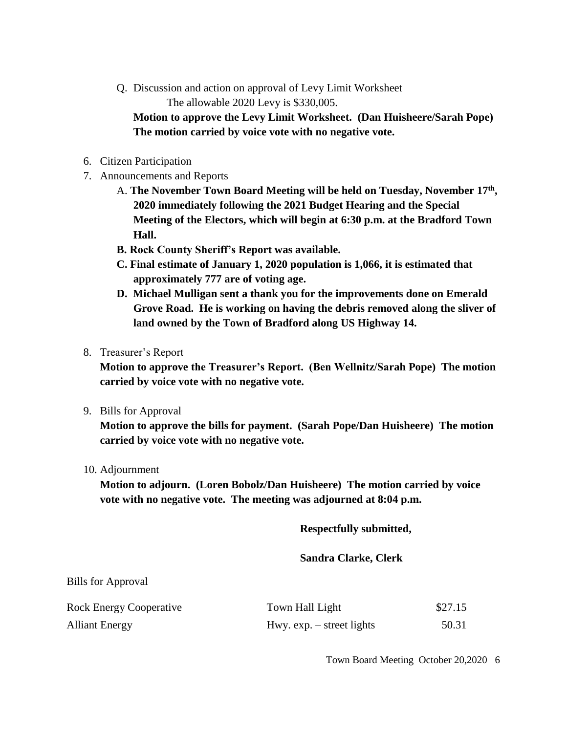Q. Discussion and action on approval of Levy Limit Worksheet The allowable 2020 Levy is \$330,005.

**Motion to approve the Levy Limit Worksheet. (Dan Huisheere/Sarah Pope) The motion carried by voice vote with no negative vote.**

- 6. Citizen Participation
- 7. Announcements and Reports
	- A. **The November Town Board Meeting will be held on Tuesday, November 17th , 2020 immediately following the 2021 Budget Hearing and the Special Meeting of the Electors, which will begin at 6:30 p.m. at the Bradford Town Hall.**
	- **B. Rock County Sheriff's Report was available.**
	- **C. Final estimate of January 1, 2020 population is 1,066, it is estimated that approximately 777 are of voting age.**
	- **D. Michael Mulligan sent a thank you for the improvements done on Emerald Grove Road. He is working on having the debris removed along the sliver of land owned by the Town of Bradford along US Highway 14.**
- 8. Treasurer's Report

**Motion to approve the Treasurer's Report. (Ben Wellnitz/Sarah Pope) The motion carried by voice vote with no negative vote.**

9. Bills for Approval

**Motion to approve the bills for payment. (Sarah Pope/Dan Huisheere) The motion carried by voice vote with no negative vote.**

10. Adjournment

**Motion to adjourn. (Loren Bobolz/Dan Huisheere) The motion carried by voice vote with no negative vote. The meeting was adjourned at 8:04 p.m.**

**Respectfully submitted,**

**Sandra Clarke, Clerk**

| <b>Bills for Approval</b> |  |
|---------------------------|--|
|                           |  |

| <b>Rock Energy Cooperative</b> | Town Hall Light             | \$27.15 |
|--------------------------------|-----------------------------|---------|
| <b>Alliant Energy</b>          | Hwy. $exp. - street$ lights | 50.31   |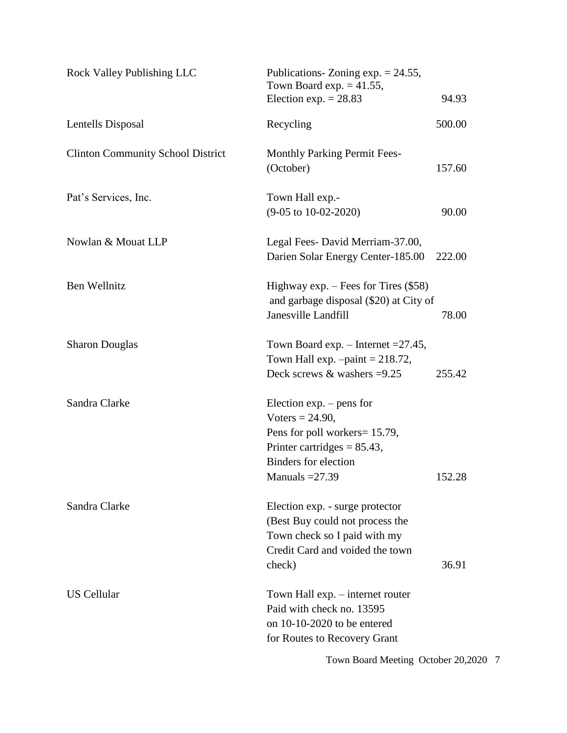| Rock Valley Publishing LLC               | Publications- Zoning $exp. = 24.55$ ,<br>Town Board exp. $= 41.55$ ,<br>Election exp. $= 28.83$<br>94.93                                                                         |  |
|------------------------------------------|----------------------------------------------------------------------------------------------------------------------------------------------------------------------------------|--|
| Lentells Disposal                        | 500.00<br>Recycling                                                                                                                                                              |  |
| <b>Clinton Community School District</b> | <b>Monthly Parking Permit Fees-</b><br>(October)<br>157.60                                                                                                                       |  |
| Pat's Services, Inc.                     | Town Hall exp.-<br>$(9-05 \text{ to } 10-02-2020)$<br>90.00                                                                                                                      |  |
| Nowlan & Mouat LLP                       | Legal Fees-David Merriam-37.00,<br>Darien Solar Energy Center-185.00<br>222.00                                                                                                   |  |
| Ben Wellnitz                             | Highway exp. $-$ Fees for Tires (\$58)<br>and garbage disposal (\$20) at City of<br>Janesville Landfill<br>78.00                                                                 |  |
| <b>Sharon Douglas</b>                    | Town Board exp. – Internet $=27.45$ ,<br>Town Hall exp. $-paint = 218.72$ ,<br>Deck screws $\&$ washers =9.25<br>255.42                                                          |  |
| Sandra Clarke                            | Election $exp. - pens$ for<br>Voters = $24.90$ ,<br>Pens for poll workers= 15.79,<br>Printer cartridges = $85.43$ ,<br><b>Binders</b> for election<br>Manuals $=27.39$<br>152.28 |  |
| Sandra Clarke                            | Election exp. - surge protector<br>(Best Buy could not process the<br>Town check so I paid with my<br>Credit Card and voided the town<br>check)<br>36.91                         |  |
| <b>US Cellular</b>                       | Town Hall exp. – internet router<br>Paid with check no. 13595<br>on 10-10-2020 to be entered<br>for Routes to Recovery Grant                                                     |  |